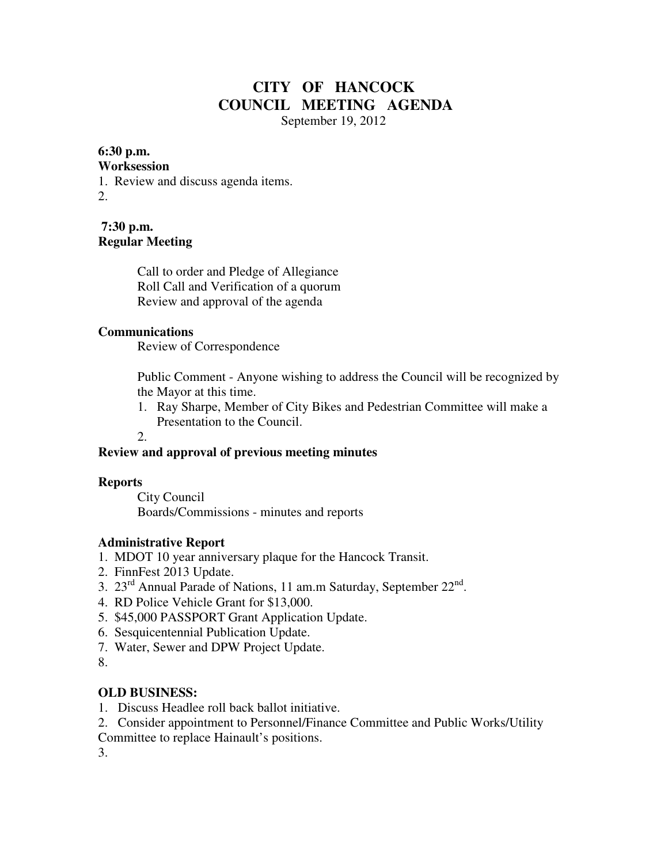# **CITY OF HANCOCK COUNCIL MEETING AGENDA**

September 19, 2012

#### **6:30 p.m.**

#### **Worksession**

1. Review and discuss agenda items.

2.

**7:30 p.m. Regular Meeting** 

> Call to order and Pledge of Allegiance Roll Call and Verification of a quorum Review and approval of the agenda

#### **Communications**

Review of Correspondence

 Public Comment - Anyone wishing to address the Council will be recognized by the Mayor at this time.

 1. Ray Sharpe, Member of City Bikes and Pedestrian Committee will make a Presentation to the Council.

2.

# **Review and approval of previous meeting minutes**

#### **Reports**

City Council Boards/Commissions - minutes and reports

# **Administrative Report**

- 1. MDOT 10 year anniversary plaque for the Hancock Transit.
- 2. FinnFest 2013 Update.
- 3.  $23^{\text{rd}}$  Annual Parade of Nations, 11 am.m Saturday, September  $22^{\text{nd}}$ .
- 4. RD Police Vehicle Grant for \$13,000.
- 5. \$45,000 PASSPORT Grant Application Update.
- 6. Sesquicentennial Publication Update.
- 7. Water, Sewer and DPW Project Update.

8.

# **OLD BUSINESS:**

- 1. Discuss Headlee roll back ballot initiative.
- 2. Consider appointment to Personnel/Finance Committee and Public Works/Utility
- Committee to replace Hainault's positions.

3.